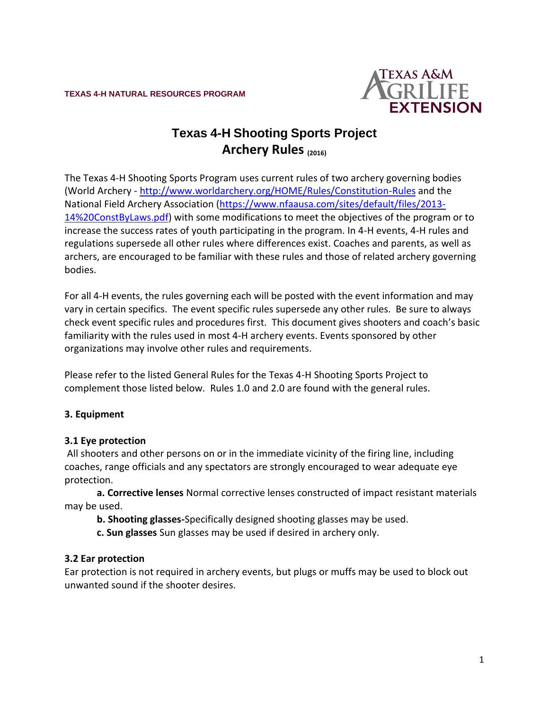**TEXAS 4-H NATURAL RESOURCES PROGRAM**



# **Texas 4-H Shooting Sports Project Archery Rules (2016)**

The Texas 4-H Shooting Sports Program uses current rules of two archery governing bodies (World Archery - <http://www.worldarchery.org/HOME/Rules/Constitution-Rules> and the National Field Archery Association [\(https://www.nfaausa.com/sites/default/files/2013-](https://www.nfaausa.com/sites/default/files/2013-14%20ConstByLaws.pdf) [14%20ConstByLaws.pdf\)](https://www.nfaausa.com/sites/default/files/2013-14%20ConstByLaws.pdf) with some modifications to meet the objectives of the program or to increase the success rates of youth participating in the program. In 4-H events, 4-H rules and regulations supersede all other rules where differences exist. Coaches and parents, as well as archers, are encouraged to be familiar with these rules and those of related archery governing bodies.

For all 4-H events, the rules governing each will be posted with the event information and may vary in certain specifics. The event specific rules supersede any other rules. Be sure to always check event specific rules and procedures first. This document gives shooters and coach's basic familiarity with the rules used in most 4-H archery events. Events sponsored by other organizations may involve other rules and requirements.

Please refer to the listed General Rules for the Texas 4-H Shooting Sports Project to complement those listed below. Rules 1.0 and 2.0 are found with the general rules.

# **3. Equipment**

# **3.1 Eye protection**

All shooters and other persons on or in the immediate vicinity of the firing line, including coaches, range officials and any spectators are strongly encouraged to wear adequate eye protection.

**a. Corrective lenses** Normal corrective lenses constructed of impact resistant materials may be used.

**b. Shooting glasses-**Specifically designed shooting glasses may be used.

**c. Sun glasses** Sun glasses may be used if desired in archery only.

# **3.2 Ear protection**

Ear protection is not required in archery events, but plugs or muffs may be used to block out unwanted sound if the shooter desires.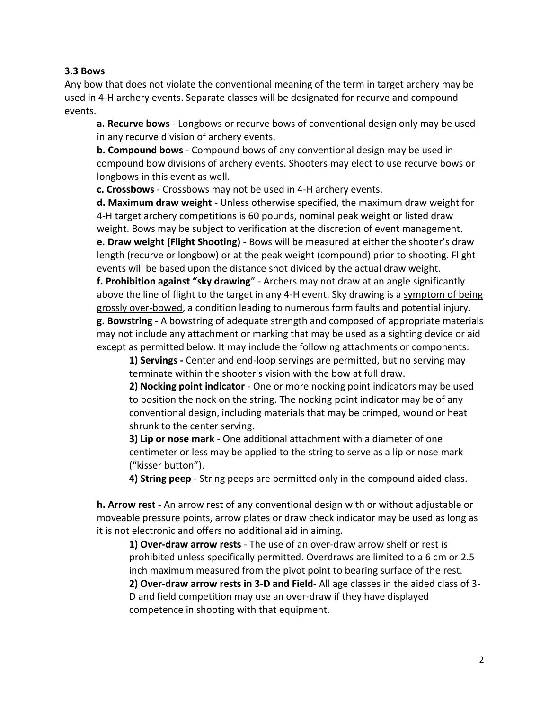#### **3.3 Bows**

Any bow that does not violate the conventional meaning of the term in target archery may be used in 4-H archery events. Separate classes will be designated for recurve and compound events.

**a. Recurve bows** - Longbows or recurve bows of conventional design only may be used in any recurve division of archery events.

**b. Compound bows** - Compound bows of any conventional design may be used in compound bow divisions of archery events. Shooters may elect to use recurve bows or longbows in this event as well.

**c. Crossbows** - Crossbows may not be used in 4-H archery events.

**d. Maximum draw weight** - Unless otherwise specified, the maximum draw weight for 4-H target archery competitions is 60 pounds, nominal peak weight or listed draw weight. Bows may be subject to verification at the discretion of event management. **e. Draw weight (Flight Shooting)** - Bows will be measured at either the shooter's draw length (recurve or longbow) or at the peak weight (compound) prior to shooting. Flight events will be based upon the distance shot divided by the actual draw weight.

**f. Prohibition against "sky drawing**" - Archers may not draw at an angle significantly above the line of flight to the target in any 4-H event. Sky drawing is a symptom of being grossly over-bowed, a condition leading to numerous form faults and potential injury. **g. Bowstring** - A bowstring of adequate strength and composed of appropriate materials may not include any attachment or marking that may be used as a sighting device or aid except as permitted below. It may include the following attachments or components:

**1) Servings -** Center and end-loop servings are permitted, but no serving may terminate within the shooter's vision with the bow at full draw.

**2) Nocking point indicator** - One or more nocking point indicators may be used to position the nock on the string. The nocking point indicator may be of any conventional design, including materials that may be crimped, wound or heat shrunk to the center serving.

**3) Lip or nose mark** - One additional attachment with a diameter of one centimeter or less may be applied to the string to serve as a lip or nose mark ("kisser button").

**4) String peep** - String peeps are permitted only in the compound aided class.

**h. Arrow rest** - An arrow rest of any conventional design with or without adjustable or moveable pressure points, arrow plates or draw check indicator may be used as long as it is not electronic and offers no additional aid in aiming.

**1) Over-draw arrow rests** - The use of an over-draw arrow shelf or rest is prohibited unless specifically permitted. Overdraws are limited to a 6 cm or 2.5 inch maximum measured from the pivot point to bearing surface of the rest.

**2) Over-draw arrow rests in 3-D and Field**- All age classes in the aided class of 3- D and field competition may use an over-draw if they have displayed competence in shooting with that equipment.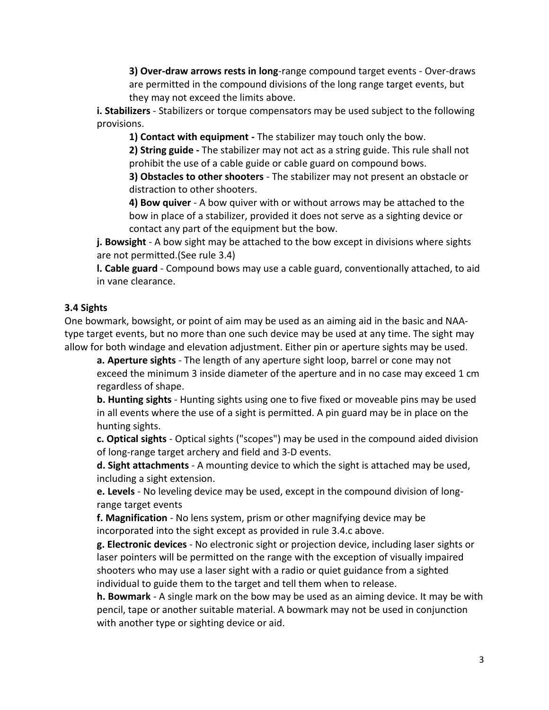**3) Over-draw arrows rests in long**-range compound target events - Over-draws are permitted in the compound divisions of the long range target events, but they may not exceed the limits above.

**i. Stabilizers** - Stabilizers or torque compensators may be used subject to the following provisions.

**1) Contact with equipment -** The stabilizer may touch only the bow.

**2) String guide -** The stabilizer may not act as a string guide. This rule shall not prohibit the use of a cable guide or cable guard on compound bows.

**3) Obstacles to other shooters** - The stabilizer may not present an obstacle or distraction to other shooters.

**4) Bow quiver** - A bow quiver with or without arrows may be attached to the bow in place of a stabilizer, provided it does not serve as a sighting device or contact any part of the equipment but the bow.

**j. Bowsight** - A bow sight may be attached to the bow except in divisions where sights are not permitted.(See rule 3.4)

**l. Cable guard** - Compound bows may use a cable guard, conventionally attached, to aid in vane clearance.

# **3.4 Sights**

One bowmark, bowsight, or point of aim may be used as an aiming aid in the basic and NAAtype target events, but no more than one such device may be used at any time. The sight may allow for both windage and elevation adjustment. Either pin or aperture sights may be used.

**a. Aperture sights** - The length of any aperture sight loop, barrel or cone may not exceed the minimum 3 inside diameter of the aperture and in no case may exceed 1 cm regardless of shape.

**b. Hunting sights** - Hunting sights using one to five fixed or moveable pins may be used in all events where the use of a sight is permitted. A pin guard may be in place on the hunting sights.

**c. Optical sights** - Optical sights ("scopes") may be used in the compound aided division of long-range target archery and field and 3-D events.

**d. Sight attachments** - A mounting device to which the sight is attached may be used, including a sight extension.

**e. Levels** - No leveling device may be used, except in the compound division of longrange target events

**f. Magnification** - No lens system, prism or other magnifying device may be incorporated into the sight except as provided in rule 3.4.c above.

**g. Electronic devices** - No electronic sight or projection device, including laser sights or laser pointers will be permitted on the range with the exception of visually impaired shooters who may use a laser sight with a radio or quiet guidance from a sighted individual to guide them to the target and tell them when to release.

**h. Bowmark** - A single mark on the bow may be used as an aiming device. It may be with pencil, tape or another suitable material. A bowmark may not be used in conjunction with another type or sighting device or aid.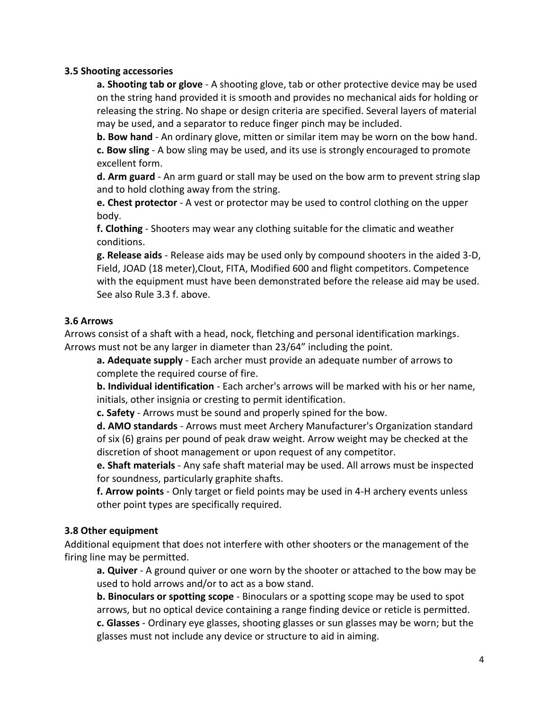#### **3.5 Shooting accessories**

**a. Shooting tab or glove** - A shooting glove, tab or other protective device may be used on the string hand provided it is smooth and provides no mechanical aids for holding or releasing the string. No shape or design criteria are specified. Several layers of material may be used, and a separator to reduce finger pinch may be included.

**b. Bow hand** - An ordinary glove, mitten or similar item may be worn on the bow hand. **c. Bow sling** - A bow sling may be used, and its use is strongly encouraged to promote excellent form.

**d. Arm guard** - An arm guard or stall may be used on the bow arm to prevent string slap and to hold clothing away from the string.

**e. Chest protector** - A vest or protector may be used to control clothing on the upper body.

**f. Clothing** - Shooters may wear any clothing suitable for the climatic and weather conditions.

**g. Release aids** - Release aids may be used only by compound shooters in the aided 3-D, Field, JOAD (18 meter),Clout, FITA, Modified 600 and flight competitors. Competence with the equipment must have been demonstrated before the release aid may be used. See also Rule 3.3 f. above.

#### **3.6 Arrows**

Arrows consist of a shaft with a head, nock, fletching and personal identification markings. Arrows must not be any larger in diameter than 23/64" including the point.

**a. Adequate supply** - Each archer must provide an adequate number of arrows to complete the required course of fire.

**b. Individual identification** - Each archer's arrows will be marked with his or her name, initials, other insignia or cresting to permit identification.

**c. Safety** - Arrows must be sound and properly spined for the bow.

**d. AMO standards** - Arrows must meet Archery Manufacturer's Organization standard of six (6) grains per pound of peak draw weight. Arrow weight may be checked at the discretion of shoot management or upon request of any competitor.

**e. Shaft materials** - Any safe shaft material may be used. All arrows must be inspected for soundness, particularly graphite shafts.

**f. Arrow points** - Only target or field points may be used in 4-H archery events unless other point types are specifically required.

#### **3.8 Other equipment**

Additional equipment that does not interfere with other shooters or the management of the firing line may be permitted.

**a. Quiver** - A ground quiver or one worn by the shooter or attached to the bow may be used to hold arrows and/or to act as a bow stand.

**b. Binoculars or spotting scope** - Binoculars or a spotting scope may be used to spot arrows, but no optical device containing a range finding device or reticle is permitted. **c. Glasses** - Ordinary eye glasses, shooting glasses or sun glasses may be worn; but the glasses must not include any device or structure to aid in aiming.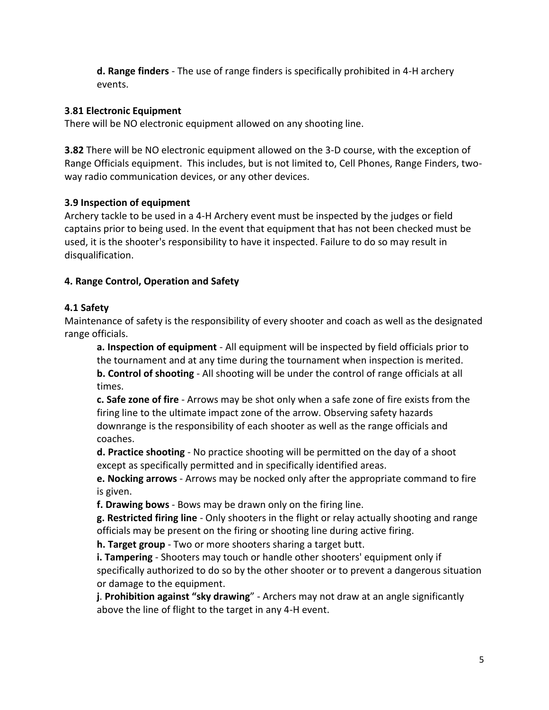**d. Range finders** - The use of range finders is specifically prohibited in 4-H archery events.

# **3**.**81 Electronic Equipment**

There will be NO electronic equipment allowed on any shooting line.

**3.82** There will be NO electronic equipment allowed on the 3-D course, with the exception of Range Officials equipment. This includes, but is not limited to, Cell Phones, Range Finders, twoway radio communication devices, or any other devices.

# **3.9 Inspection of equipment**

Archery tackle to be used in a 4-H Archery event must be inspected by the judges or field captains prior to being used. In the event that equipment that has not been checked must be used, it is the shooter's responsibility to have it inspected. Failure to do so may result in disqualification.

# **4. Range Control, Operation and Safety**

# **4.1 Safety**

Maintenance of safety is the responsibility of every shooter and coach as well as the designated range officials.

**a. Inspection of equipment** - All equipment will be inspected by field officials prior to the tournament and at any time during the tournament when inspection is merited. **b. Control of shooting** - All shooting will be under the control of range officials at all times.

**c. Safe zone of fire** - Arrows may be shot only when a safe zone of fire exists from the firing line to the ultimate impact zone of the arrow. Observing safety hazards downrange is the responsibility of each shooter as well as the range officials and coaches.

**d. Practice shooting** - No practice shooting will be permitted on the day of a shoot except as specifically permitted and in specifically identified areas.

**e. Nocking arrows** - Arrows may be nocked only after the appropriate command to fire is given.

**f. Drawing bows** - Bows may be drawn only on the firing line.

**g. Restricted firing line** - Only shooters in the flight or relay actually shooting and range officials may be present on the firing or shooting line during active firing.

**h. Target group** - Two or more shooters sharing a target butt.

**i. Tampering** - Shooters may touch or handle other shooters' equipment only if specifically authorized to do so by the other shooter or to prevent a dangerous situation or damage to the equipment.

**j**. **Prohibition against "sky drawing**" - Archers may not draw at an angle significantly above the line of flight to the target in any 4-H event.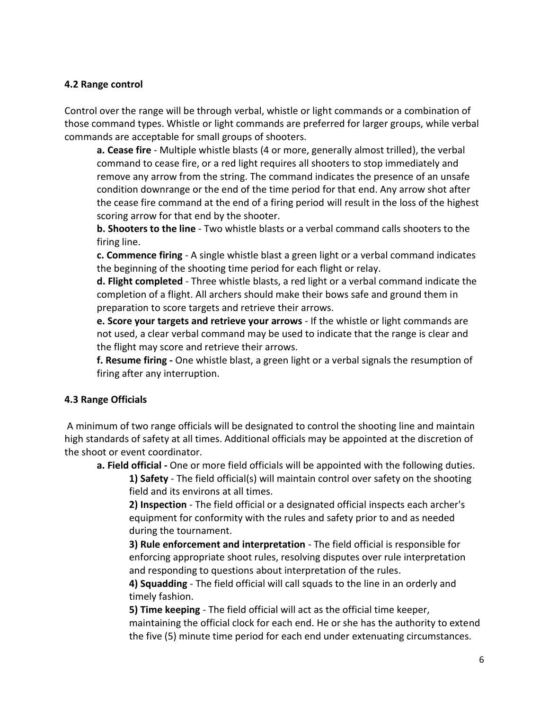### **4.2 Range control**

Control over the range will be through verbal, whistle or light commands or a combination of those command types. Whistle or light commands are preferred for larger groups, while verbal commands are acceptable for small groups of shooters.

**a. Cease fire** - Multiple whistle blasts (4 or more, generally almost trilled), the verbal command to cease fire, or a red light requires all shooters to stop immediately and remove any arrow from the string. The command indicates the presence of an unsafe condition downrange or the end of the time period for that end. Any arrow shot after the cease fire command at the end of a firing period will result in the loss of the highest scoring arrow for that end by the shooter.

**b. Shooters to the line** - Two whistle blasts or a verbal command calls shooters to the firing line.

**c. Commence firing** - A single whistle blast a green light or a verbal command indicates the beginning of the shooting time period for each flight or relay.

**d. Flight completed** - Three whistle blasts, a red light or a verbal command indicate the completion of a flight. All archers should make their bows safe and ground them in preparation to score targets and retrieve their arrows.

**e. Score your targets and retrieve your arrows** - If the whistle or light commands are not used, a clear verbal command may be used to indicate that the range is clear and the flight may score and retrieve their arrows.

**f. Resume firing -** One whistle blast, a green light or a verbal signals the resumption of firing after any interruption.

# **4.3 Range Officials**

A minimum of two range officials will be designated to control the shooting line and maintain high standards of safety at all times. Additional officials may be appointed at the discretion of the shoot or event coordinator.

**a. Field official -** One or more field officials will be appointed with the following duties.

**1) Safety** - The field official(s) will maintain control over safety on the shooting field and its environs at all times.

**2) Inspection** - The field official or a designated official inspects each archer's equipment for conformity with the rules and safety prior to and as needed during the tournament.

**3) Rule enforcement and interpretation** - The field official is responsible for enforcing appropriate shoot rules, resolving disputes over rule interpretation and responding to questions about interpretation of the rules.

**4) Squadding** - The field official will call squads to the line in an orderly and timely fashion.

**5) Time keeping** - The field official will act as the official time keeper, maintaining the official clock for each end. He or she has the authority to extend the five (5) minute time period for each end under extenuating circumstances.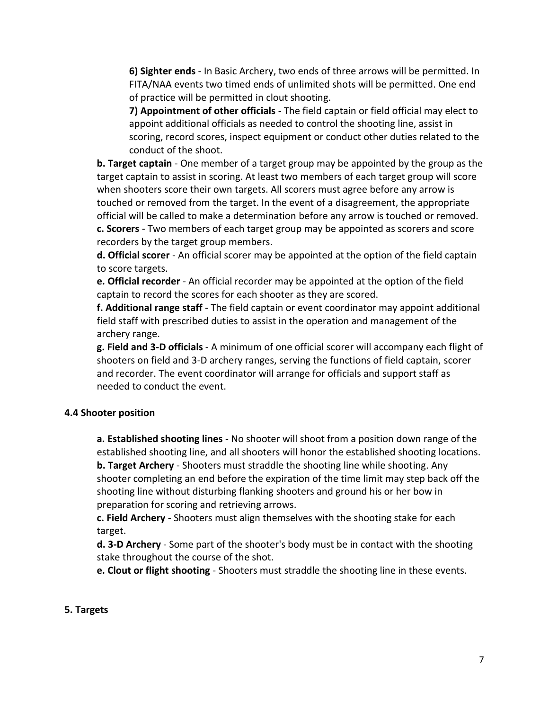**6) Sighter ends** - In Basic Archery, two ends of three arrows will be permitted. In FITA/NAA events two timed ends of unlimited shots will be permitted. One end of practice will be permitted in clout shooting.

**7) Appointment of other officials** - The field captain or field official may elect to appoint additional officials as needed to control the shooting line, assist in scoring, record scores, inspect equipment or conduct other duties related to the conduct of the shoot.

**b. Target captain** - One member of a target group may be appointed by the group as the target captain to assist in scoring. At least two members of each target group will score when shooters score their own targets. All scorers must agree before any arrow is touched or removed from the target. In the event of a disagreement, the appropriate official will be called to make a determination before any arrow is touched or removed. **c. Scorers** - Two members of each target group may be appointed as scorers and score recorders by the target group members.

**d. Official scorer** - An official scorer may be appointed at the option of the field captain to score targets.

**e. Official recorder** - An official recorder may be appointed at the option of the field captain to record the scores for each shooter as they are scored.

**f. Additional range staff** - The field captain or event coordinator may appoint additional field staff with prescribed duties to assist in the operation and management of the archery range.

**g. Field and 3-D officials** - A minimum of one official scorer will accompany each flight of shooters on field and 3-D archery ranges, serving the functions of field captain, scorer and recorder. The event coordinator will arrange for officials and support staff as needed to conduct the event.

# **4.4 Shooter position**

**a. Established shooting lines** - No shooter will shoot from a position down range of the established shooting line, and all shooters will honor the established shooting locations. **b. Target Archery** - Shooters must straddle the shooting line while shooting. Any shooter completing an end before the expiration of the time limit may step back off the shooting line without disturbing flanking shooters and ground his or her bow in preparation for scoring and retrieving arrows.

**c. Field Archery** - Shooters must align themselves with the shooting stake for each target.

**d. 3-D Archery** - Some part of the shooter's body must be in contact with the shooting stake throughout the course of the shot.

**e. Clout or flight shooting** - Shooters must straddle the shooting line in these events.

#### **5. Targets**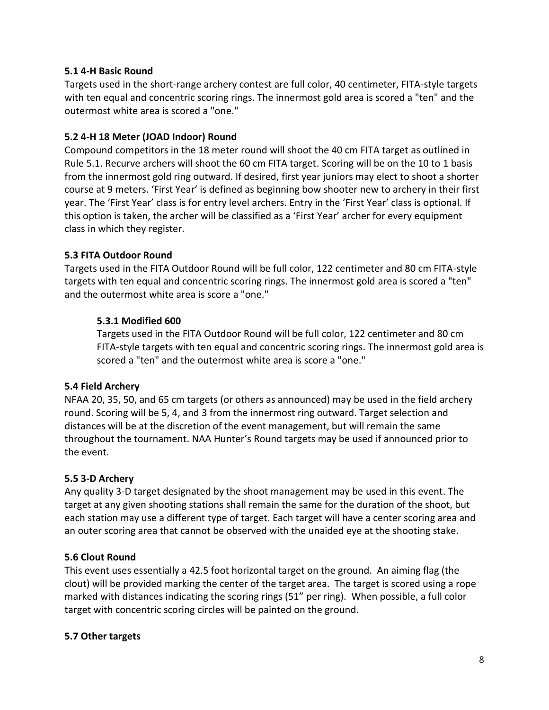### **5.1 4-H Basic Round**

Targets used in the short-range archery contest are full color, 40 centimeter, FITA-style targets with ten equal and concentric scoring rings. The innermost gold area is scored a "ten" and the outermost white area is scored a "one."

### **5.2 4-H 18 Meter (JOAD Indoor) Round**

Compound competitors in the 18 meter round will shoot the 40 cm FITA target as outlined in Rule 5.1. Recurve archers will shoot the 60 cm FITA target. Scoring will be on the 10 to 1 basis from the innermost gold ring outward. If desired, first year juniors may elect to shoot a shorter course at 9 meters. 'First Year' is defined as beginning bow shooter new to archery in their first year. The 'First Year' class is for entry level archers. Entry in the 'First Year' class is optional. If this option is taken, the archer will be classified as a 'First Year' archer for every equipment class in which they register.

### **5.3 FITA Outdoor Round**

Targets used in the FITA Outdoor Round will be full color, 122 centimeter and 80 cm FITA-style targets with ten equal and concentric scoring rings. The innermost gold area is scored a "ten" and the outermost white area is score a "one."

### **5.3.1 Modified 600**

Targets used in the FITA Outdoor Round will be full color, 122 centimeter and 80 cm FITA-style targets with ten equal and concentric scoring rings. The innermost gold area is scored a "ten" and the outermost white area is score a "one."

#### **5.4 Field Archery**

NFAA 20, 35, 50, and 65 cm targets (or others as announced) may be used in the field archery round. Scoring will be 5, 4, and 3 from the innermost ring outward. Target selection and distances will be at the discretion of the event management, but will remain the same throughout the tournament. NAA Hunter's Round targets may be used if announced prior to the event.

# **5.5 3-D Archery**

Any quality 3-D target designated by the shoot management may be used in this event. The target at any given shooting stations shall remain the same for the duration of the shoot, but each station may use a different type of target. Each target will have a center scoring area and an outer scoring area that cannot be observed with the unaided eye at the shooting stake.

#### **5.6 Clout Round**

This event uses essentially a 42.5 foot horizontal target on the ground. An aiming flag (the clout) will be provided marking the center of the target area. The target is scored using a rope marked with distances indicating the scoring rings (51" per ring). When possible, a full color target with concentric scoring circles will be painted on the ground.

#### **5.7 Other targets**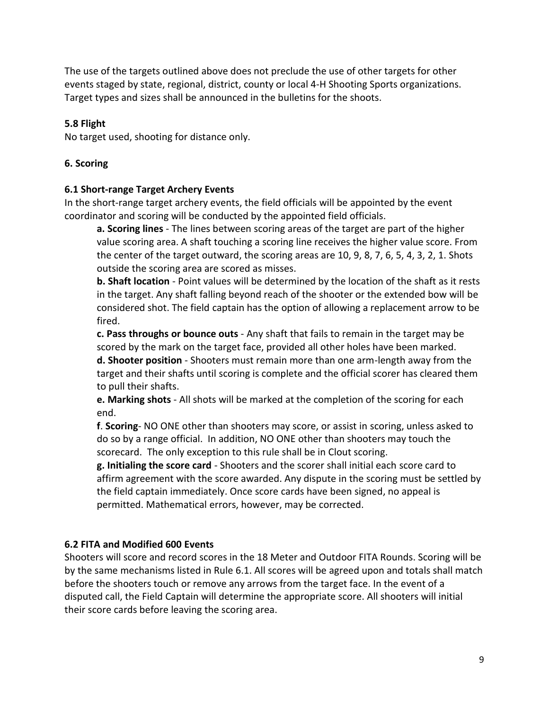The use of the targets outlined above does not preclude the use of other targets for other events staged by state, regional, district, county or local 4-H Shooting Sports organizations. Target types and sizes shall be announced in the bulletins for the shoots.

### **5.8 Flight**

No target used, shooting for distance only.

### **6. Scoring**

#### **6.1 Short-range Target Archery Events**

In the short-range target archery events, the field officials will be appointed by the event coordinator and scoring will be conducted by the appointed field officials.

**a. Scoring lines** - The lines between scoring areas of the target are part of the higher value scoring area. A shaft touching a scoring line receives the higher value score. From the center of the target outward, the scoring areas are 10, 9, 8, 7, 6, 5, 4, 3, 2, 1. Shots outside the scoring area are scored as misses.

**b. Shaft location** - Point values will be determined by the location of the shaft as it rests in the target. Any shaft falling beyond reach of the shooter or the extended bow will be considered shot. The field captain has the option of allowing a replacement arrow to be fired.

**c. Pass throughs or bounce outs** - Any shaft that fails to remain in the target may be scored by the mark on the target face, provided all other holes have been marked.

**d. Shooter position** - Shooters must remain more than one arm-length away from the target and their shafts until scoring is complete and the official scorer has cleared them to pull their shafts.

**e. Marking shots** - All shots will be marked at the completion of the scoring for each end.

**f**. **Scoring**- NO ONE other than shooters may score, or assist in scoring, unless asked to do so by a range official. In addition, NO ONE other than shooters may touch the scorecard. The only exception to this rule shall be in Clout scoring.

**g. Initialing the score card** - Shooters and the scorer shall initial each score card to affirm agreement with the score awarded. Any dispute in the scoring must be settled by the field captain immediately. Once score cards have been signed, no appeal is permitted. Mathematical errors, however, may be corrected.

# **6.2 FITA and Modified 600 Events**

Shooters will score and record scores in the 18 Meter and Outdoor FITA Rounds. Scoring will be by the same mechanisms listed in Rule 6.1. All scores will be agreed upon and totals shall match before the shooters touch or remove any arrows from the target face. In the event of a disputed call, the Field Captain will determine the appropriate score. All shooters will initial their score cards before leaving the scoring area.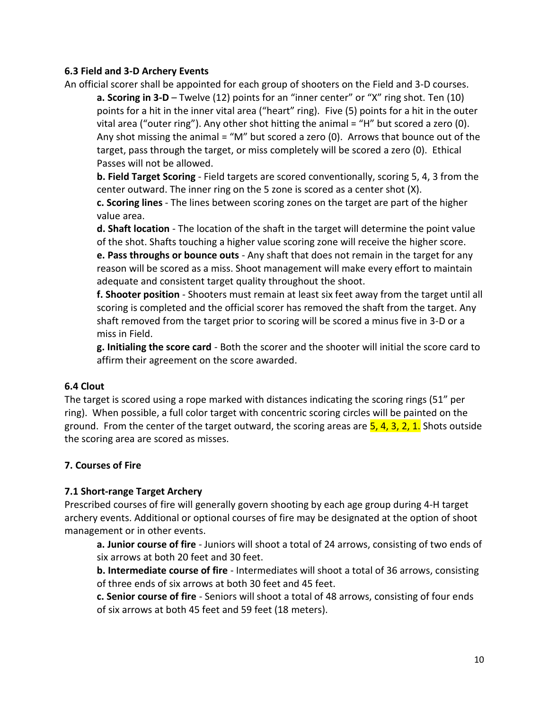### **6.3 Field and 3-D Archery Events**

An official scorer shall be appointed for each group of shooters on the Field and 3-D courses.

**a. Scoring in 3-D** – Twelve (12) points for an "inner center" or "X" ring shot. Ten (10) points for a hit in the inner vital area ("heart" ring). Five (5) points for a hit in the outer vital area ("outer ring"). Any other shot hitting the animal = "H" but scored a zero  $(0)$ . Any shot missing the animal = "M" but scored a zero (0). Arrows that bounce out of the target, pass through the target, or miss completely will be scored a zero (0). Ethical Passes will not be allowed.

**b. Field Target Scoring** - Field targets are scored conventionally, scoring 5, 4, 3 from the center outward. The inner ring on the 5 zone is scored as a center shot (X).

**c. Scoring lines** - The lines between scoring zones on the target are part of the higher value area.

**d. Shaft location** - The location of the shaft in the target will determine the point value of the shot. Shafts touching a higher value scoring zone will receive the higher score.

**e. Pass throughs or bounce outs** - Any shaft that does not remain in the target for any reason will be scored as a miss. Shoot management will make every effort to maintain adequate and consistent target quality throughout the shoot.

**f. Shooter position** - Shooters must remain at least six feet away from the target until all scoring is completed and the official scorer has removed the shaft from the target. Any shaft removed from the target prior to scoring will be scored a minus five in 3-D or a miss in Field.

**g. Initialing the score card** - Both the scorer and the shooter will initial the score card to affirm their agreement on the score awarded.

# **6.4 Clout**

The target is scored using a rope marked with distances indicating the scoring rings (51" per ring). When possible, a full color target with concentric scoring circles will be painted on the ground.From the center of the target outward, the scoring areas are 5, 4, 3, 2, 1. Shots outside the scoring area are scored as misses.

# **7. Courses of Fire**

# **7.1 Short-range Target Archery**

Prescribed courses of fire will generally govern shooting by each age group during 4-H target archery events. Additional or optional courses of fire may be designated at the option of shoot management or in other events.

**a. Junior course of fire** - Juniors will shoot a total of 24 arrows, consisting of two ends of six arrows at both 20 feet and 30 feet.

**b. Intermediate course of fire** - Intermediates will shoot a total of 36 arrows, consisting of three ends of six arrows at both 30 feet and 45 feet.

**c. Senior course of fire** - Seniors will shoot a total of 48 arrows, consisting of four ends of six arrows at both 45 feet and 59 feet (18 meters).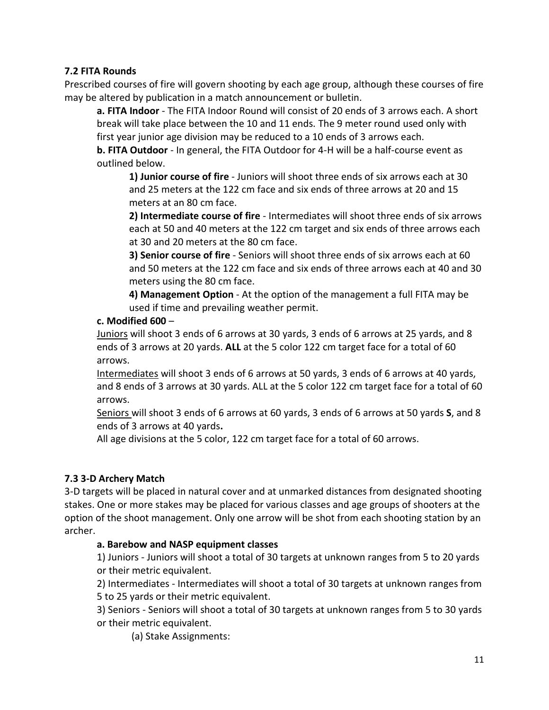# **7.2 FITA Rounds**

Prescribed courses of fire will govern shooting by each age group, although these courses of fire may be altered by publication in a match announcement or bulletin.

**a. FITA Indoor** - The FITA Indoor Round will consist of 20 ends of 3 arrows each. A short break will take place between the 10 and 11 ends. The 9 meter round used only with first year junior age division may be reduced to a 10 ends of 3 arrows each.

**b. FITA Outdoor** - In general, the FITA Outdoor for 4-H will be a half-course event as outlined below.

**1) Junior course of fire** - Juniors will shoot three ends of six arrows each at 30 and 25 meters at the 122 cm face and six ends of three arrows at 20 and 15 meters at an 80 cm face.

**2) Intermediate course of fire** - Intermediates will shoot three ends of six arrows each at 50 and 40 meters at the 122 cm target and six ends of three arrows each at 30 and 20 meters at the 80 cm face.

**3) Senior course of fire** - Seniors will shoot three ends of six arrows each at 60 and 50 meters at the 122 cm face and six ends of three arrows each at 40 and 30 meters using the 80 cm face.

**4) Management Option** - At the option of the management a full FITA may be used if time and prevailing weather permit.

### **c. Modified 600** –

Juniors will shoot 3 ends of 6 arrows at 30 yards, 3 ends of 6 arrows at 25 yards, and 8 ends of 3 arrows at 20 yards. **ALL** at the 5 color 122 cm target face for a total of 60 arrows.

Intermediates will shoot 3 ends of 6 arrows at 50 yards, 3 ends of 6 arrows at 40 yards, and 8 ends of 3 arrows at 30 yards. ALL at the 5 color 122 cm target face for a total of 60 arrows.

Seniors will shoot 3 ends of 6 arrows at 60 yards, 3 ends of 6 arrows at 50 yards **S**, and 8 ends of 3 arrows at 40 yards**.** 

All age divisions at the 5 color, 122 cm target face for a total of 60 arrows.

# **7.3 3-D Archery Match**

3-D targets will be placed in natural cover and at unmarked distances from designated shooting stakes. One or more stakes may be placed for various classes and age groups of shooters at the option of the shoot management. Only one arrow will be shot from each shooting station by an archer.

# **a. Barebow and NASP equipment classes**

1) Juniors - Juniors will shoot a total of 30 targets at unknown ranges from 5 to 20 yards or their metric equivalent.

2) Intermediates - Intermediates will shoot a total of 30 targets at unknown ranges from 5 to 25 yards or their metric equivalent.

3) Seniors - Seniors will shoot a total of 30 targets at unknown ranges from 5 to 30 yards or their metric equivalent.

(a) Stake Assignments: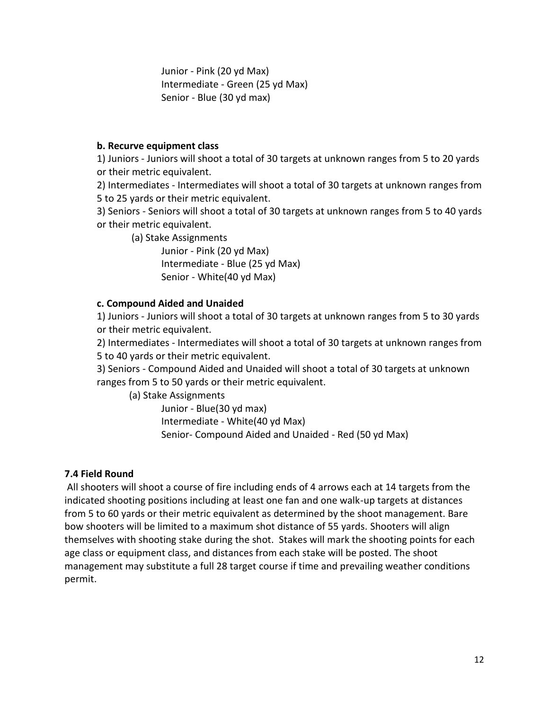Junior - Pink (20 yd Max) Intermediate - Green (25 yd Max) Senior - Blue (30 yd max)

### **b. Recurve equipment class**

1) Juniors - Juniors will shoot a total of 30 targets at unknown ranges from 5 to 20 yards or their metric equivalent.

2) Intermediates - Intermediates will shoot a total of 30 targets at unknown ranges from 5 to 25 yards or their metric equivalent.

3) Seniors - Seniors will shoot a total of 30 targets at unknown ranges from 5 to 40 yards or their metric equivalent.

(a) Stake Assignments

Junior - Pink (20 yd Max) Intermediate - Blue (25 yd Max) Senior - White(40 yd Max)

### **c. Compound Aided and Unaided**

1) Juniors - Juniors will shoot a total of 30 targets at unknown ranges from 5 to 30 yards or their metric equivalent.

2) Intermediates - Intermediates will shoot a total of 30 targets at unknown ranges from 5 to 40 yards or their metric equivalent.

3) Seniors - Compound Aided and Unaided will shoot a total of 30 targets at unknown ranges from 5 to 50 yards or their metric equivalent.

(a) Stake Assignments

Junior - Blue(30 yd max) Intermediate - White(40 yd Max) Senior- Compound Aided and Unaided - Red (50 yd Max)

# **7.4 Field Round**

All shooters will shoot a course of fire including ends of 4 arrows each at 14 targets from the indicated shooting positions including at least one fan and one walk-up targets at distances from 5 to 60 yards or their metric equivalent as determined by the shoot management. Bare bow shooters will be limited to a maximum shot distance of 55 yards. Shooters will align themselves with shooting stake during the shot. Stakes will mark the shooting points for each age class or equipment class, and distances from each stake will be posted. The shoot management may substitute a full 28 target course if time and prevailing weather conditions permit.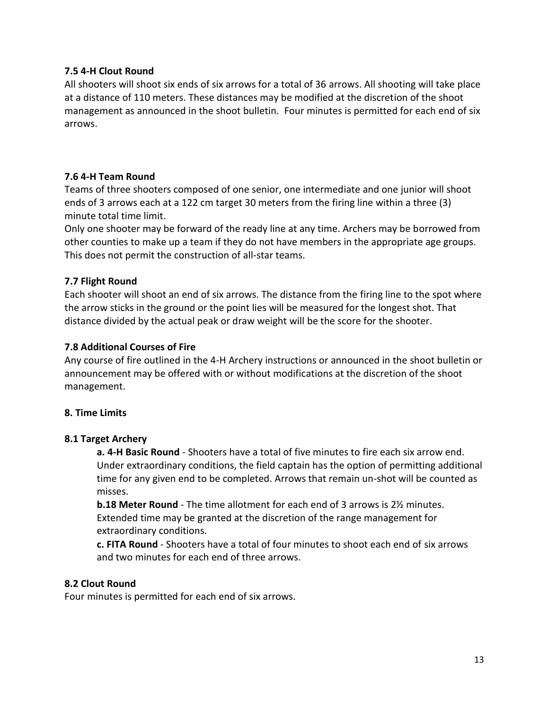### **7.5 4-H Clout Round**

All shooters will shoot six ends of six arrows for a total of 36 arrows. All shooting will take place at a distance of 110 meters. These distances may be modified at the discretion of the shoot management as announced in the shoot bulletin.Four minutes is permitted for each end of six arrows.

### **7.6 4-H Team Round**

Teams of three shooters composed of one senior, one intermediate and one junior will shoot ends of 3 arrows each at a 122 cm target 30 meters from the firing line within a three (3) minute total time limit.

Only one shooter may be forward of the ready line at any time. Archers may be borrowed from other counties to make up a team if they do not have members in the appropriate age groups. This does not permit the construction of all-star teams.

# **7.7 Flight Round**

Each shooter will shoot an end of six arrows. The distance from the firing line to the spot where the arrow sticks in the ground or the point lies will be measured for the longest shot. That distance divided by the actual peak or draw weight will be the score for the shooter.

### **7.8 Additional Courses of Fire**

Any course of fire outlined in the 4-H Archery instructions or announced in the shoot bulletin or announcement may be offered with or without modifications at the discretion of the shoot management.

#### **8. Time Limits**

# **8.1 Target Archery**

**a. 4-H Basic Round** - Shooters have a total of five minutes to fire each six arrow end. Under extraordinary conditions, the field captain has the option of permitting additional time for any given end to be completed. Arrows that remain un-shot will be counted as misses.

**b.18 Meter Round** - The time allotment for each end of 3 arrows is 2½ minutes. Extended time may be granted at the discretion of the range management for extraordinary conditions.

**c. FITA Round** - Shooters have a total of four minutes to shoot each end of six arrows and two minutes for each end of three arrows.

#### **8.2 Clout Round**

Four minutes is permitted for each end of six arrows.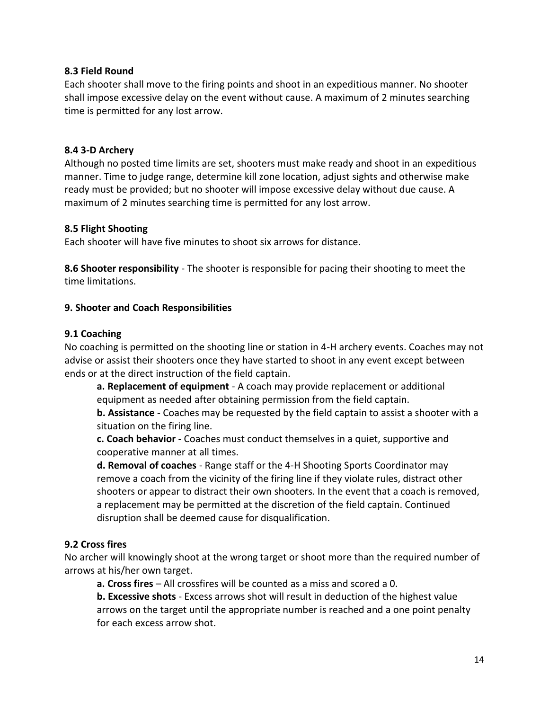### **8.3 Field Round**

Each shooter shall move to the firing points and shoot in an expeditious manner. No shooter shall impose excessive delay on the event without cause. A maximum of 2 minutes searching time is permitted for any lost arrow.

#### **8.4 3-D Archery**

Although no posted time limits are set, shooters must make ready and shoot in an expeditious manner. Time to judge range, determine kill zone location, adjust sights and otherwise make ready must be provided; but no shooter will impose excessive delay without due cause. A maximum of 2 minutes searching time is permitted for any lost arrow.

### **8.5 Flight Shooting**

Each shooter will have five minutes to shoot six arrows for distance.

**8.6 Shooter responsibility** - The shooter is responsible for pacing their shooting to meet the time limitations.

# **9. Shooter and Coach Responsibilities**

### **9.1 Coaching**

No coaching is permitted on the shooting line or station in 4-H archery events. Coaches may not advise or assist their shooters once they have started to shoot in any event except between ends or at the direct instruction of the field captain.

**a. Replacement of equipment** - A coach may provide replacement or additional equipment as needed after obtaining permission from the field captain.

**b. Assistance** - Coaches may be requested by the field captain to assist a shooter with a situation on the firing line.

**c. Coach behavior** - Coaches must conduct themselves in a quiet, supportive and cooperative manner at all times.

**d. Removal of coaches** - Range staff or the 4-H Shooting Sports Coordinator may remove a coach from the vicinity of the firing line if they violate rules, distract other shooters or appear to distract their own shooters. In the event that a coach is removed, a replacement may be permitted at the discretion of the field captain. Continued disruption shall be deemed cause for disqualification.

# **9.2 Cross fires**

No archer will knowingly shoot at the wrong target or shoot more than the required number of arrows at his/her own target.

**a. Cross fires** – All crossfires will be counted as a miss and scored a 0.

**b. Excessive shots** - Excess arrows shot will result in deduction of the highest value arrows on the target until the appropriate number is reached and a one point penalty for each excess arrow shot.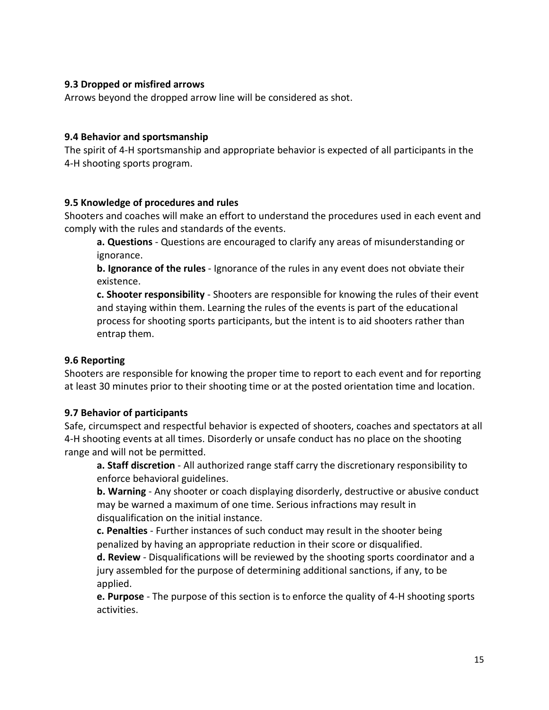### **9.3 Dropped or misfired arrows**

Arrows beyond the dropped arrow line will be considered as shot.

#### **9.4 Behavior and sportsmanship**

The spirit of 4-H sportsmanship and appropriate behavior is expected of all participants in the 4-H shooting sports program.

#### **9.5 Knowledge of procedures and rules**

Shooters and coaches will make an effort to understand the procedures used in each event and comply with the rules and standards of the events.

**a. Questions** - Questions are encouraged to clarify any areas of misunderstanding or ignorance.

**b. Ignorance of the rules** - Ignorance of the rules in any event does not obviate their existence.

**c. Shooter responsibility** - Shooters are responsible for knowing the rules of their event and staying within them. Learning the rules of the events is part of the educational process for shooting sports participants, but the intent is to aid shooters rather than entrap them.

#### **9.6 Reporting**

Shooters are responsible for knowing the proper time to report to each event and for reporting at least 30 minutes prior to their shooting time or at the posted orientation time and location.

#### **9.7 Behavior of participants**

Safe, circumspect and respectful behavior is expected of shooters, coaches and spectators at all 4-H shooting events at all times. Disorderly or unsafe conduct has no place on the shooting range and will not be permitted.

**a. Staff discretion** - All authorized range staff carry the discretionary responsibility to enforce behavioral guidelines.

**b. Warning** - Any shooter or coach displaying disorderly, destructive or abusive conduct may be warned a maximum of one time. Serious infractions may result in disqualification on the initial instance.

**c. Penalties** - Further instances of such conduct may result in the shooter being penalized by having an appropriate reduction in their score or disqualified.

**d. Review** - Disqualifications will be reviewed by the shooting sports coordinator and a jury assembled for the purpose of determining additional sanctions, if any, to be applied.

**e. Purpose** - The purpose of this section is to enforce the quality of 4-H shooting sports activities.